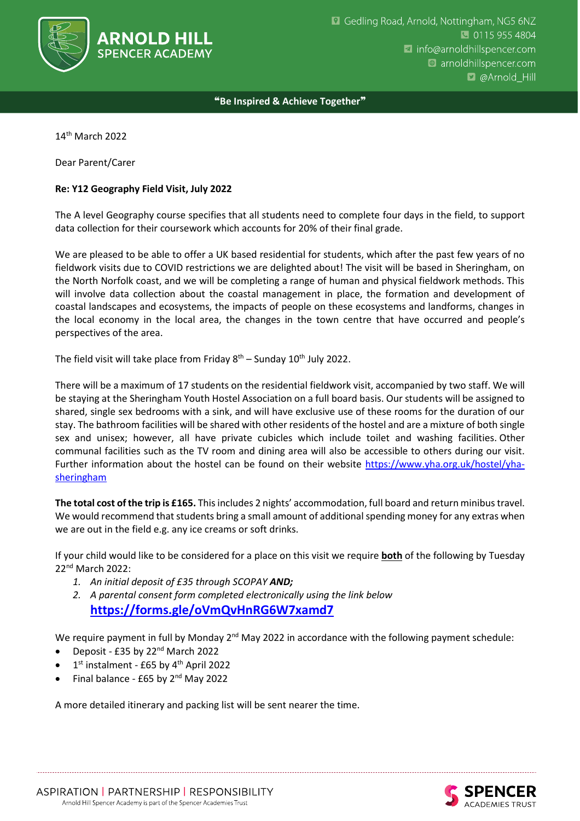

❝**Be Inspired & Achieve Together**❞

14th March 2022

Dear Parent/Carer

## **Re: Y12 Geography Field Visit, July 2022**

The A level Geography course specifies that all students need to complete four days in the field, to support data collection for their coursework which accounts for 20% of their final grade.

We are pleased to be able to offer a UK based residential for students, which after the past few years of no fieldwork visits due to COVID restrictions we are delighted about! The visit will be based in Sheringham, on the North Norfolk coast, and we will be completing a range of human and physical fieldwork methods. This will involve data collection about the coastal management in place, the formation and development of coastal landscapes and ecosystems, the impacts of people on these ecosystems and landforms, changes in the local economy in the local area, the changes in the town centre that have occurred and people's perspectives of the area.

The field visit will take place from Friday  $8<sup>th</sup>$  – Sunday 10<sup>th</sup> July 2022.

There will be a maximum of 17 students on the residential fieldwork visit, accompanied by two staff. We will be staying at the Sheringham Youth Hostel Association on a full board basis. Our students will be assigned to shared, single sex bedrooms with a sink, and will have exclusive use of these rooms for the duration of our stay. The bathroom facilities will be shared with other residents of the hostel and are a mixture of both single sex and unisex; however, all have private cubicles which include toilet and washing facilities. Other communal facilities such as the TV room and dining area will also be accessible to others during our visit. Further information about the hostel can be found on their website [https://www.yha.org.uk/hostel/yha](https://www.yha.org.uk/hostel/yha-sheringham)[sheringham](https://www.yha.org.uk/hostel/yha-sheringham)

**The total cost of the trip is £165.** This includes 2 nights' accommodation, full board and return minibus travel. We would recommend that students bring a small amount of additional spending money for any extras when we are out in the field e.g. any ice creams or soft drinks.

If your child would like to be considered for a place on this visit we require **both** of the following by Tuesday 22nd March 2022:

- *1. An initial deposit of £35 through SCOPAY AND;*
- *2. A parental consent form completed electronically using the link below* **<https://forms.gle/oVmQvHnRG6W7xamd7>**

We require payment in full by Monday  $2^{nd}$  May 2022 in accordance with the following payment schedule:

- Deposit £35 by 22nd March 2022
- $\bullet$  1<sup>st</sup> instalment £65 by 4<sup>th</sup> April 2022
- Final balance  $E65$  by 2<sup>nd</sup> May 2022

A more detailed itinerary and packing list will be sent nearer the time.

CADEMIES TRUST